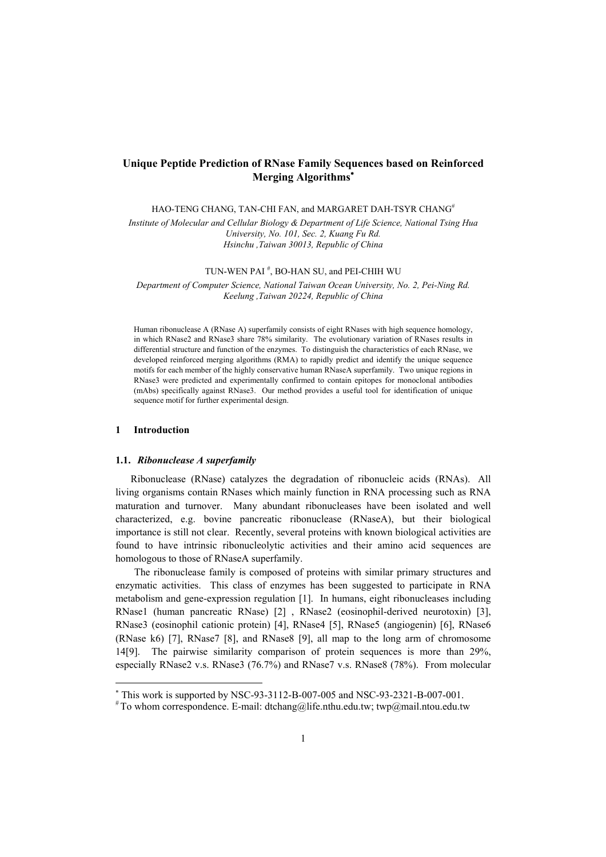# **Unique Peptide Prediction of RNase Family Sequences based on Reinforced Merging Algorithms** [∗](#page-0-0)

HAO-TENG CHANG, TAN-CHI FAN, and MARGARET DAH-TSYR CHANG<sup>#</sup>

*Institute of Molecular and Cellular Biology & Department of Life Science, National Tsing Hua University, No. 101, Sec. 2, Kuang Fu Rd. Hsinchu ,Taiwan 30013, Republic of China* 

TUN-WEN PAI # , BO-HAN SU, and PEI-CHIH WU

*Department of Computer Science, National Taiwan Ocean University, No. 2, Pei-Ning Rd. Keelung ,Taiwan 20224, Republic of China* 

Human ribonuclease A (RNase A) superfamily consists of eight RNases with high sequence homology, in which RNase2 and RNase3 share 78% similarity. The evolutionary variation of RNases results in differential structure and function of the enzymes. To distinguish the characteristics of each RNase, we developed reinforced merging algorithms (RMA) to rapidly predict and identify the unique sequence motifs for each member of the highly conservative human RNaseA superfamily. Two unique regions in RNase3 were predicted and experimentally confirmed to contain epitopes for monoclonal antibodies (mAbs) specifically against RNase3. Our method provides a useful tool for identification of unique sequence motif for further experimental design.

# **1 Introduction**

l

# **1.1.** *Ribonuclease A superfamily*

Ribonuclease (RNase) catalyzes the degradation of ribonucleic acids (RNAs). All living organisms contain RNases which mainly function in RNA processing such as RNA maturation and turnover. Many abundant ribonucleases have been isolated and well characterized, e.g. bovine pancreatic ribonuclease (RNaseA), but their biological importance is still not clear. Recently, several proteins with known biological activities are found to have intrinsic ribonucleolytic activities and their amino acid sequences are homologous to those of RNaseA superfamily.

The ribonuclease family is composed of proteins with similar primary structures and enzymatic activities. This class of enzymes has been suggested to participate in RNA metabolism and gene-expression regulation [1]. In humans, eight ribonucleases including RNase1 (human pancreatic RNase) [2] , RNase2 (eosinophil-derived neurotoxin) [3], RNase3 (eosinophil cationic protein) [4], RNase4 [5], RNase5 (angiogenin) [6], RNase6 (RNase k6) [7], RNase7 [8], and RNase8 [9], all map to the long arm of chromosome 14[9]. The pairwise similarity comparison of protein sequences is more than 29%, especially RNase2 v.s. RNase3 (76.7%) and RNase7 v.s. RNase8 (78%). From molecular

<span id="page-0-0"></span><sup>\*</sup> This work is supported by NSC-93-3112-B-007-005 and NSC-93-2321-B-007-001.

<sup>#</sup> To whom correspondence. E-mail: dtchang@life.nthu.edu.tw; twp@mail.ntou.edu.tw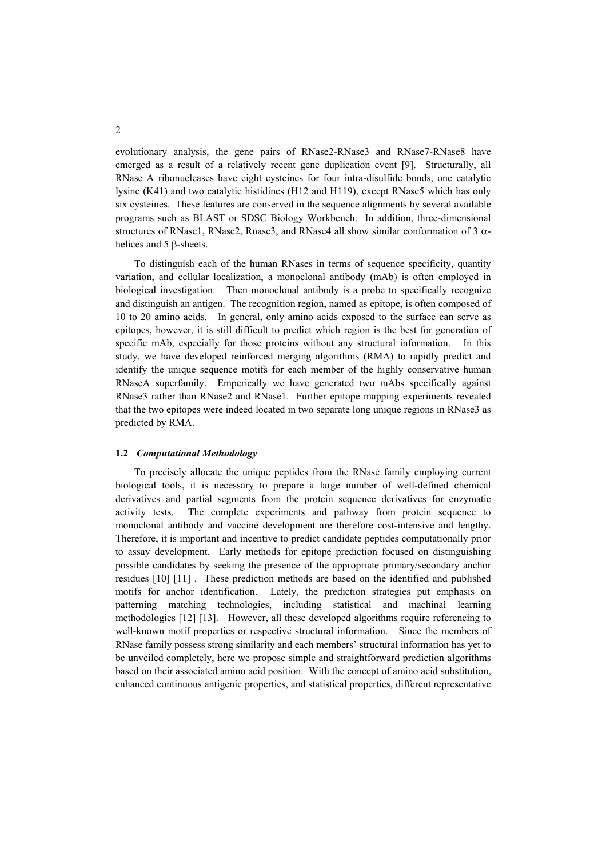evolutionary analysis, the gene pairs of RNase2-RNase3 and RNase7-RNase8 have emerged as a result of a relatively recent gene duplication event [9]. Structurally, all RNase A ribonucleases have eight cysteines for four intra-disulfide bonds, one catalytic lysine (K41) and two catalytic histidines (H12 and H119), except RNase5 which has only six cysteines. These features are conserved in the sequence alignments by several available programs such as BLAST or SDSC Biology Workbench. In addition, three-dimensional structures of RNase1, RNase2, Rnase3, and RNase4 all show similar conformation of 3  $\alpha$ helices and 5 β-sheets.

To distinguish each of the human RNases in terms of sequence specificity, quantity variation, and cellular localization, a monoclonal antibody (mAb) is often employed in biological investigation. Then monoclonal antibody is a probe to specifically recognize and distinguish an antigen. The recognition region, named as epitope, is often composed of 10 to 20 amino acids. In general, only amino acids exposed to the surface can serve as epitopes, however, it is still difficult to predict which region is the best for generation of specific mAb, especially for those proteins without any structural information. In this study, we have developed reinforced merging algorithms (RMA) to rapidly predict and identify the unique sequence motifs for each member of the highly conservative human RNaseA superfamily. Emperically we have generated two mAbs specifically against RNase3 rather than RNase2 and RNase1. Further epitope mapping experiments revealed that the two epitopes were indeed located in two separate long unique regions in RNase3 as predicted by RMA.

#### **1.2** *Computational Methodology*

To precisely allocate the unique peptides from the RNase family employing current biological tools, it is necessary to prepare a large number of well-defined chemical derivatives and partial segments from the protein sequence derivatives for enzymatic activity tests. The complete experiments and pathway from protein sequence to monoclonal antibody and vaccine development are therefore cost-intensive and lengthy. Therefore, it is important and incentive to predict candidate peptides computationally prior to assay development. Early methods for epitope prediction focused on distinguishing possible candidates by seeking the presence of the appropriate primary/secondary anchor residues [10] [11] . These prediction methods are based on the identified and published motifs for anchor identification. Lately, the prediction strategies put emphasis on patterning matching technologies, including statistical and machinal learning methodologies [12] [13]. However, all these developed algorithms require referencing to well-known motif properties or respective structural information. Since the members of RNase family possess strong similarity and each members' structural information has yet to be unveiled completely, here we propose simple and straightforward prediction algorithms based on their associated amino acid position. With the concept of amino acid substitution, enhanced continuous antigenic properties, and statistical properties, different representative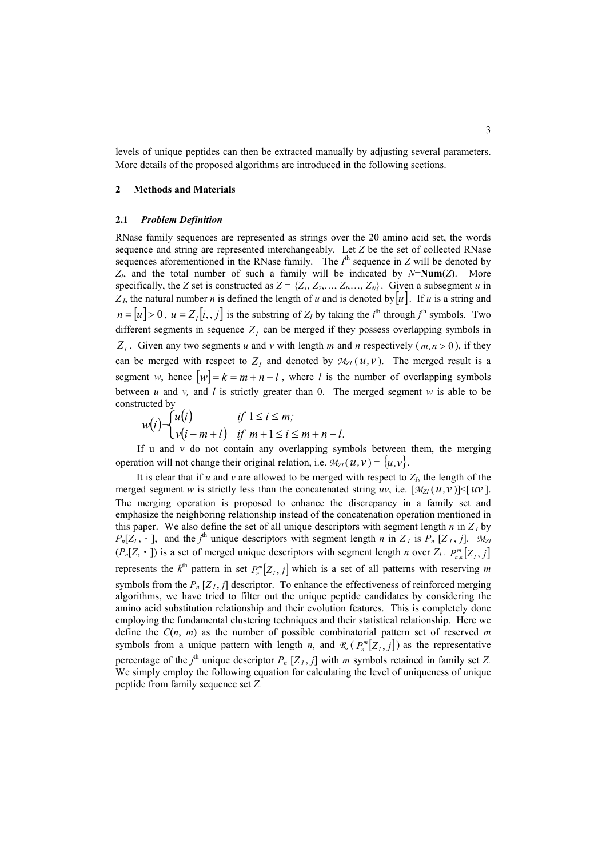levels of unique peptides can then be extracted manually by adjusting several parameters. More details of the proposed algorithms are introduced in the following sections.

## **2 Methods and Materials**

#### **2.1** *Problem Definition*

RNase family sequences are represented as strings over the 20 amino acid set, the words sequence and string are represented interchangeably. Let *Z* be the set of collected RNase sequences aforementioned in the RNase family. The  $I<sup>th</sup>$  sequence in *Z* will be denoted by *ZI*, and the total number of such a family will be indicated by *N*=**Num**(*Z*). More specifically, the *Z* set is constructed as  $Z = \{Z_1, Z_2, \ldots, Z_l, \ldots, Z_N\}$ . Given a subsegment *u* in  $Z_L$ , the natural number *n* is defined the length of *u* and is denoted by  $[u]$ . If *u* is a string and  $n = [u] > 0$ ,  $u = Z_I[i, j]$  is the substring of  $Z_I$  by taking the *i*<sup>th</sup> through *j*<sup>th</sup> symbols. Two different segments in sequence  $Z<sub>I</sub>$  can be merged if they possess overlapping symbols in  $Z_i$ . Given any two segments *u* and *v* with length *m* and *n* respectively (*m*, *n* > 0), if they can be merged with respect to  $Z_i$  and denoted by  $M_{ZI}(u,v)$ . The merged result is a segment *w*, hence  $|w| = k = m + n - l$ , where *l* is the number of overlapping symbols between  $u$  and  $v$ , and  $l$  is strictly greater than 0. The merged segment  $w$  is able to be constructed by

$$
w(i) = \begin{cases} u(i) & \text{if } 1 \le i \le m; \\ v(i - m + l) & \text{if } m + 1 \le i \le m + n - l. \end{cases}
$$

If u and v do not contain any overlapping symbols between them, the merging operation will not change their original relation, i.e.  $\mathcal{M}_{ZI}(u, v) = \{u, v\}$ .

It is clear that if *u* and *v* are allowed to be merged with respect to  $Z_i$ , the length of the merged segment *w* is strictly less than the concatenated string *uv*, i.e.  $[\mathcal{M}_{ZI}(u, v)] \leq [uv]$ . The merging operation is proposed to enhance the discrepancy in a family set and emphasize the neighboring relationship instead of the concatenation operation mentioned in this paper. We also define the set of all unique descriptors with segment length  $n$  in  $Z_I$  by  $(P_n[Z, \cdot])$  is a set of merged unique descriptors with segment length *n* over  $Z_I$ .  $P_{n,k}^m[Z_I, j]$  $P_n[Z_1, \cdot]$ , and the *j*<sup>th</sup> unique descriptors with segment length *n* in  $Z_i$  is  $P_n[Z_i, j]$ . *M*<sub>ZI</sub> represents the  $k^{\text{th}}$  pattern in set  $P_n^m[Z_j, j]$  which is a set of all patterns with reserving *m* symbols from the  $P_n[Z_i, j]$  descriptor. To enhance the effectiveness of reinforced merging algorithms, we have tried to filter out the unique peptide candidates by considering the amino acid substitution relationship and their evolution features. This is completely done employing the fundamental clustering techniques and their statistical relationship. Here we define the *C*(*n*, *m*) as the number of possible combinatorial pattern set of reserved *m* symbols from a unique pattern with length *n*, and  $\mathcal{R}$  ( $P_n^m[Z_i, j]$ ) as the representative percentage of the  $j^{\text{th}}$  unique descriptor  $P_n$  [ $Z_i$ ,  $j$ ] with *m* symbols retained in family set *Z*. We simply employ the following equation for calculating the level of uniqueness of unique peptide from family sequence set *Z.*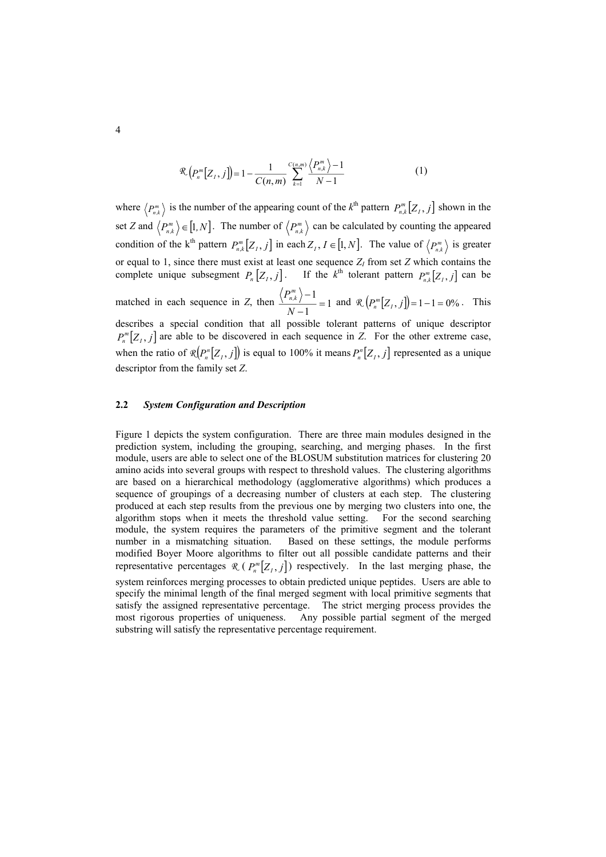$$
\mathcal{R}\left(P_n^m[Z_j, j]\right) = 1 - \frac{1}{C(n, m)} \sum_{k=1}^{C(n, m)} \frac{\langle P_{n, k}^m \rangle - 1}{N - 1} \tag{1}
$$

where  $\langle P_{n,k}^m \rangle$  is the number of the appearing count of the  $k^{\text{th}}$  pattern  $P_{n,k}^m[Z_f, j]$  shown in the set *Z* and  $\langle P_{n,k}^m \rangle \in [1, N]$ . The number of  $\langle P_{n,k}^m \rangle$  can be calculated by counting the appeared condition of the k<sup>th</sup> pattern  $P_{n,k}^m[Z_I, j]$  in each  $Z_I, I \in [1, N]$ . The value of  $\langle P_{n,k}^m \rangle$  is greater or equal to 1, since there must exist at least one sequence  $Z_I$  from set  $Z$  which contains the complete unique subsegment  $P_n[Z_i, j]$ . If the  $k^{\text{th}}$  tolerant pattern  $P_{n,k}^m[Z_i, j]$  can be matched in each sequence in *Z*, then  $\frac{\binom{n}{k}}{n}$  = 1 1  $\frac{-1}{1}$  = *N* −  $\frac{P_{n,k}^m}{P_{n,k}}$  and  $\mathcal{R}\left(P_n^m[Z_I, j]\right) = 1 - 1 = 0\%$ . This describes a special condition that all possible tolerant patterns of unique descriptor  $P_n^m[Z_i, j]$  are able to be discovered in each sequence in *Z*. For the other extreme case, when the ratio of  $\mathcal{R}(P_n^n[Z_j, j])$  is equal to 100% it means  $P_n^n[Z_j, j]$  represented as a unique descriptor from the family set *Z*.

### **2.2** *System Configuration and Description*

Figure 1 depicts the system configuration. There are three main modules designed in the prediction system, including the grouping, searching, and merging phases. In the first module, users are able to select one of the BLOSUM substitution matrices for clustering 20 amino acids into several groups with respect to threshold values. The clustering algorithms are based on a hierarchical methodology (agglomerative algorithms) which produces a sequence of groupings of a decreasing number of clusters at each step. The clustering produced at each step results from the previous one by merging two clusters into one, the algorithm stops when it meets the threshold value setting. For the second searching module, the system requires the parameters of the primitive segment and the tolerant number in a mismatching situation. Based on these settings, the module performs modified Boyer Moore algorithms to filter out all possible candidate patterns and their representative percentages  $\mathcal{R}$  ( $P_n^m[Z_j, j]$ ) respectively. In the last merging phase, the system reinforces merging processes to obtain predicted unique peptides. Users are able to specify the minimal length of the final merged segment with local primitive segments that satisfy the assigned representative percentage. The strict merging process provides the most rigorous properties of uniqueness. Any possible partial segment of the merged substring will satisfy the representative percentage requirement.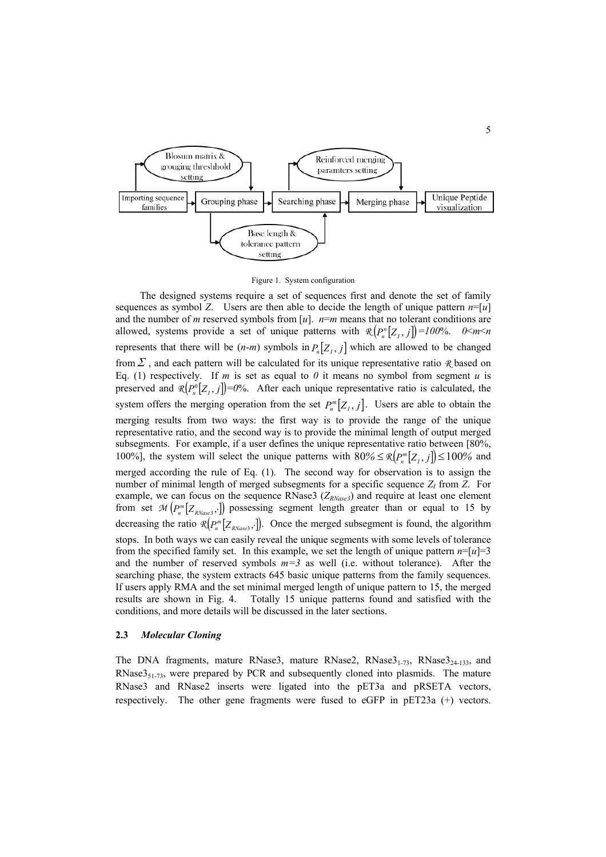

Figure 1. System configuration

The designed systems require a set of sequences first and denote the set of family sequences as symbol *Z*. Users are then able to decide the length of unique pattern *n*=[*u*] and the number of *m* reserved symbols from [ $u$ ].  $n=m$  means that no tolerant conditions are allowed, systems provide a set of unique patterns with  $\mathcal{R}(P_n^n[Z_j, j]) = 100\%$ .  $0 \le m \le n$ represents that there will be  $(n-m)$  symbols in  $P_n[Z_j, j]$  which are allowed to be changed fromΣ , and each pattern will be calculated for its unique representative ratio *R* based on Eq. (1) respectively. If *m* is set as equal to  $\theta$  it means no symbol from segment *u* is preserved and  $\mathcal{R}(P_{n}^{0}[Z_{i}, j]) = 0$ %. After each unique representative ratio is calculated, the system offers the merging operation from the set  $P_n^m[Z_i, j]$ . Users are able to obtain the merging results from two ways: the first way is to provide the range of the unique representative ratio, and the second way is to provide the minimal length of output merged subsegments. For example, if a user defines the unique representative ratio between [80%, 100%], the system will select the unique patterns with  $80\% \leq \mathbb{R} \left[ P_n^m \left[ Z_i, j \right] \right] \leq 100\%$  and merged according the rule of Eq. (1). The second way for observation is to assign the number of minimal length of merged subsegments for a specific sequence  $Z_I$  from  $Z$ . For example, we can focus on the sequence RNase3 ( $Z_{RNase3}$ ) and require at least one element from set  $\mathcal{M} \left( P_n^m \left[ Z_{\text{\textit{RNase3}}}, \right] \right)$  possessing segment length greater than or equal to 15 by decreasing the ratio  $\mathcal{R}(P_n^m[Z_{RNase3},])$ . Once the merged subsegment is found, the algorithm stops. In both ways we can easily reveal the unique segments with some levels of tolerance from the specified family set. In this example, we set the length of unique pattern  $n=[u]=3$ and the number of reserved symbols  $m=3$  as well (i.e. without tolerance). After the searching phase, the system extracts 645 basic unique patterns from the family sequences. If users apply RMA and the set minimal merged length of unique pattern to 15, the merged results are shown in Fig. 4. Totally 15 unique patterns found and satisfied with the conditions, and more details will be discussed in the later sections.

#### **2.3** *Molecular Cloning*

The DNA fragments, mature RNase3, mature RNase2, RNase $3<sub>1-73</sub>$ , RNase $3<sub>24-133</sub>$ , and RNase $3<sub>51-73</sub>$ , were prepared by PCR and subsequently cloned into plasmids. The mature RNase3 and RNase2 inserts were ligated into the pET3a and pRSETA vectors, respectively. The other gene fragments were fused to eGFP in pET23a (+) vectors.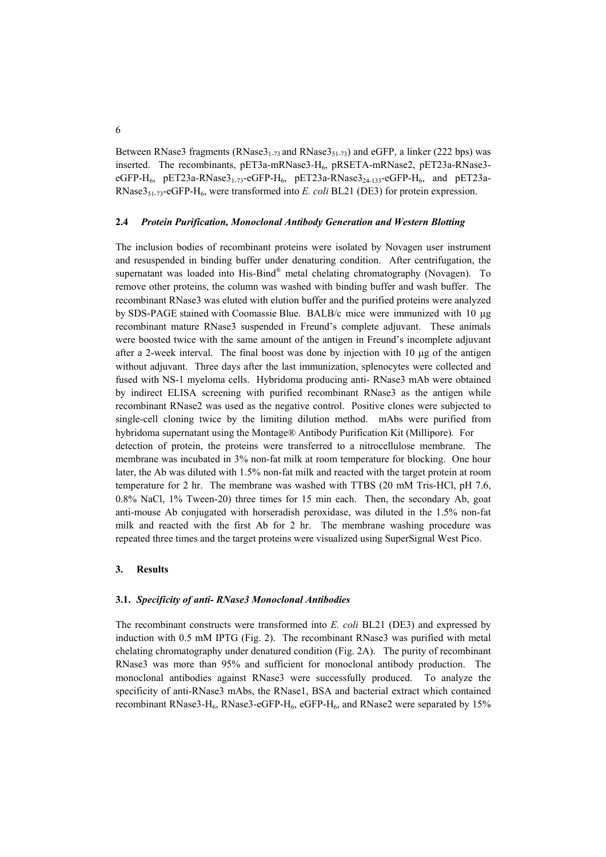Between RNase3 fragments ( $RNase3<sub>1-73</sub>$  and  $RNase3<sub>51-73</sub>$ ) and eGFP, a linker (222 bps) was inserted. The recombinants, pET3a-mRNase3*-*H6, pRSETA-mRNase2, pET23a-RNase3 eGFP-H<sub>6</sub>, pET23a-RNase3<sub>1-73</sub>-eGFP-H<sub>6</sub>, pET23a-RNase3<sub>24-133</sub>-eGFP-H<sub>6</sub>, and pET23a-RNase351-73-eGFP-H6, were transformed into *E. coli* BL21 (DE3) for protein expression.

# **2.4** *Protein Purification, Monoclonal Antibody Generation and Western Blotting*

The inclusion bodies of recombinant proteins were isolated by Novagen user instrument and resuspended in binding buffer under denaturing condition. After centrifugation, the supernatant was loaded into His-Bind<sup>®</sup> metal chelating chromatography (Novagen). To remove other proteins, the column was washed with binding buffer and wash buffer. The recombinant RNase3 was eluted with elution buffer and the purified proteins were analyzed by SDS-PAGE stained with Coomassie Blue. BALB/c mice were immunized with 10 µg recombinant mature RNase3 suspended in Freund's complete adjuvant. These animals were boosted twice with the same amount of the antigen in Freund's incomplete adjuvant after a 2-week interval. The final boost was done by injection with  $10 \mu$ g of the antigen without adjuvant. Three days after the last immunization, splenocytes were collected and fused with NS-1 myeloma cells. Hybridoma producing anti- RNase3 mAb were obtained by indirect ELISA screening with purified recombinant RNase3 as the antigen while recombinant RNase2 was used as the negative control. Positive clones were subjected to single-cell cloning twice by the limiting dilution method. mAbs were purified from hybridoma supernatant using the Montage® Antibody Purification Kit (Millipore). For detection of protein, the proteins were transferred to a nitrocellulose membrane. The membrane was incubated in 3% non-fat milk at room temperature for blocking. One hour later, the Ab was diluted with 1.5% non-fat milk and reacted with the target protein at room temperature for 2 hr. The membrane was washed with TTBS (20 mM Tris-HCl, pH 7.6, 0.8% NaCl, 1% Tween-20) three times for 15 min each. Then, the secondary Ab, goat anti-mouse Ab conjugated with horseradish peroxidase, was diluted in the 1.5% non-fat milk and reacted with the first Ab for 2 hr. The membrane washing procedure was repeated three times and the target proteins were visualized using SuperSignal West Pico.

## **3. Results**

## **3.1.** *Specificity of anti- RNase3 Monoclonal Antibodies*

The recombinant constructs were transformed into *E. coli* BL21 (DE3) and expressed by induction with 0.5 mM IPTG (Fig. 2). The recombinant RNase3 was purified with metal chelating chromatography under denatured condition (Fig. 2A). The purity of recombinant RNase3 was more than 95% and sufficient for monoclonal antibody production. The monoclonal antibodies against RNase3 were successfully produced. To analyze the specificity of anti-RNase3 mAbs, the RNase1, BSA and bacterial extract which contained recombinant RNase3-H<sub>6</sub>, RNase3-eGFP-H<sub>6</sub>, eGFP-H<sub>6</sub>, and RNase2 were separated by 15%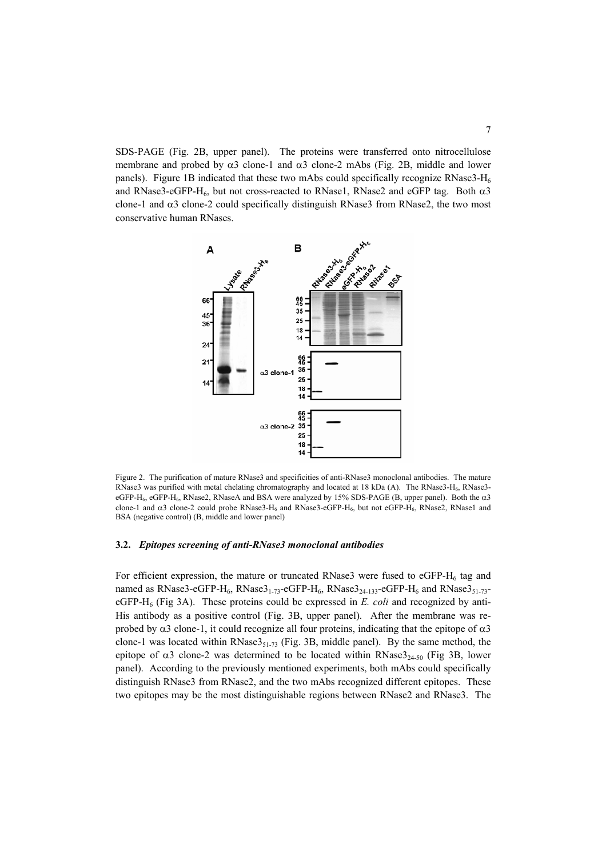SDS-PAGE (Fig. 2B, upper panel). The proteins were transferred onto nitrocellulose membrane and probed by  $\alpha$ 3 clone-1 and  $\alpha$ 3 clone-2 mAbs (Fig. 2B, middle and lower panels). Figure 1B indicated that these two mAbs could specifically recognize RNase3- $H_6$ and RNase3-eGFP-H<sub>6</sub>, but not cross-reacted to RNase1, RNase2 and eGFP tag. Both  $\alpha$ 3 clone-1 and  $\alpha$ 3 clone-2 could specifically distinguish RNase3 from RNase2, the two most conservative human RNases.



Figure 2. The purification of mature RNase3 and specificities of anti-RNase3 monoclonal antibodies. The mature RNase3 was purified with metal chelating chromatography and located at 18 kDa (A). The RNase3-H<sub>6</sub>, RNase3eGFP-H<sub>6</sub>, eGFP-H<sub>6</sub>, RNase2, RNaseA and BSA were analyzed by 15% SDS-PAGE (B, upper panel). Both the  $\alpha$ 3 clone-1 and α3 clone-2 could probe RNase3-H<sub>6</sub> and RNase3-eGFP-H<sub>6</sub>, but not eGFP-H<sub>6</sub>, RNase2, RNase1 and BSA (negative control) (B, middle and lower panel)

#### **3.2.** *Epitopes screening of anti-RNase3 monoclonal antibodies*

For efficient expression, the mature or truncated RNase3 were fused to  $eGFP-H_6$  tag and named as RNase3-eGFP-H<sub>6</sub>, RNase3<sub>1-73</sub>-eGFP-H<sub>6</sub>, RNase3<sub>24-133</sub>-eGFP-H<sub>6</sub> and RNase3<sub>51-73</sub>eGFP- $H_6$  (Fig 3A). These proteins could be expressed in *E. coli* and recognized by anti-His antibody as a positive control (Fig. 3B, upper panel). After the membrane was reprobed by  $\alpha$ 3 clone-1, it could recognize all four proteins, indicating that the epitope of  $\alpha$ 3 clone-1 was located within RNase $3_{51-73}$  (Fig. 3B, middle panel). By the same method, the epitope of  $\alpha$ 3 clone-2 was determined to be located within RNase $3_{24-50}$  (Fig 3B, lower panel). According to the previously mentioned experiments, both mAbs could specifically distinguish RNase3 from RNase2, and the two mAbs recognized different epitopes. These two epitopes may be the most distinguishable regions between RNase2 and RNase3. The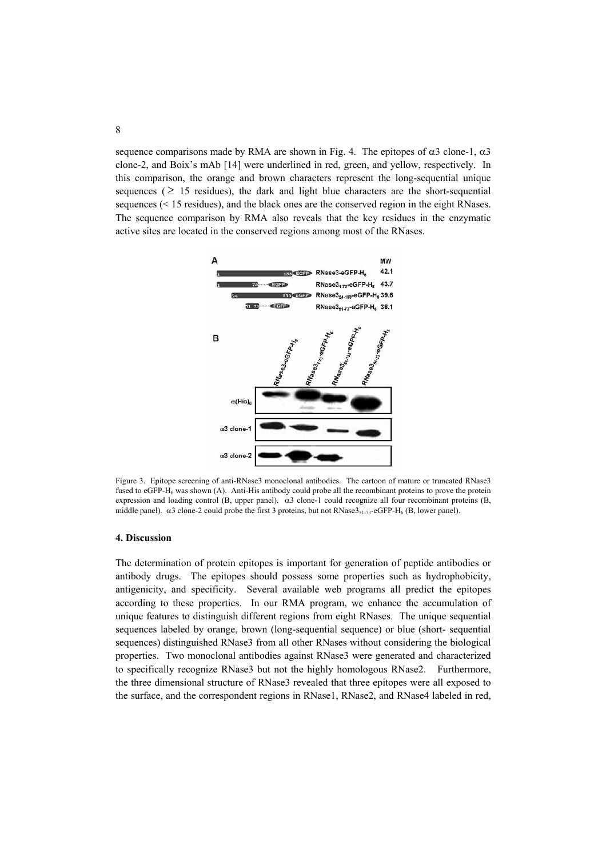sequence comparisons made by RMA are shown in Fig. 4. The epitopes of  $\alpha$ 3 clone-1,  $\alpha$ 3 clone-2, and Boix's mAb [14] were underlined in red, green, and yellow, respectively. In this comparison, the orange and brown characters represent the long-sequential unique sequences ( $\geq$  15 residues), the dark and light blue characters are the short-sequential sequences (< 15 residues), and the black ones are the conserved region in the eight RNases. The sequence comparison by RMA also reveals that the key residues in the enzymatic active sites are located in the conserved regions among most of the RNases.



Figure 3. Epitope screening of anti-RNase3 monoclonal antibodies. The cartoon of mature or truncated RNase3 fused to eGFP-H<sub>6</sub> was shown (A). Anti-His antibody could probe all the recombinant proteins to prove the protein expression and loading control (B, upper panel). α3 clone-1 could recognize all four recombinant proteins (B, middle panel). α3 clone-2 could probe the first 3 proteins, but not RNase3<sub>51-73</sub>-eGFP-H<sub>6</sub> (B, lower panel).

# **4. Discussion**

The determination of protein epitopes is important for generation of peptide antibodies or antibody drugs. The epitopes should possess some properties such as hydrophobicity, antigenicity, and specificity. Several available web programs all predict the epitopes according to these properties. In our RMA program, we enhance the accumulation of unique features to distinguish different regions from eight RNases. The unique sequential sequences labeled by orange, brown (long-sequential sequence) or blue (short- sequential sequences) distinguished RNase3 from all other RNases without considering the biological properties. Two monoclonal antibodies against RNase3 were generated and characterized to specifically recognize RNase3 but not the highly homologous RNase2. Furthermore, the three dimensional structure of RNase3 revealed that three epitopes were all exposed to the surface, and the correspondent regions in RNase1, RNase2, and RNase4 labeled in red,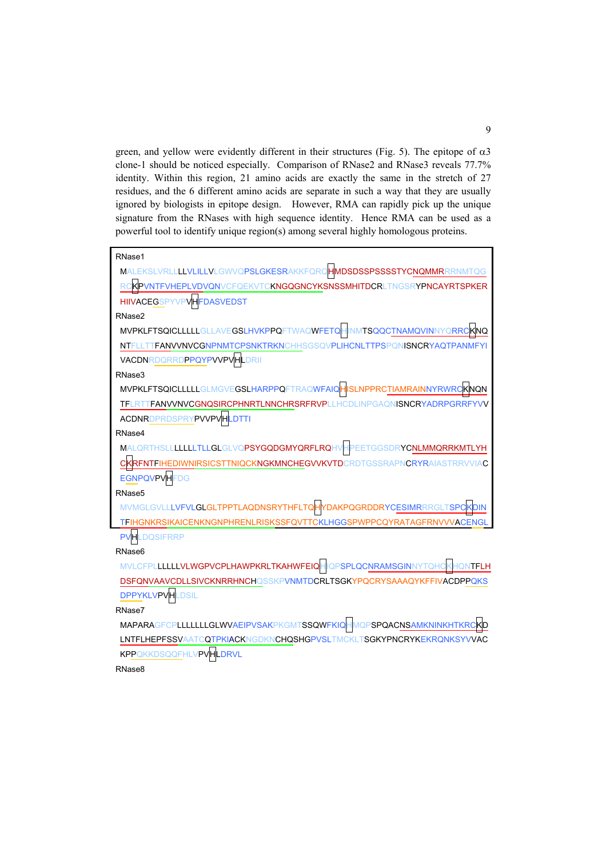green, and yellow were evidently different in their structures (Fig. 5). The epitope of  $\alpha$ 3 clone-1 should be noticed especially. Comparison of RNase2 and RNase3 reveals 77.7% identity. Within this region, 21 amino acids are exactly the same in the stretch of 27 residues, and the 6 different amino acids are separate in such a way that they are usually ignored by biologists in epitope design. However, RMA can rapidly pick up the unique signature from the RNases with high sequence identity. Hence RMA can be used as a powerful tool to identify unique region(s) among several highly homologous proteins.

| RNase1                                                                              |
|-------------------------------------------------------------------------------------|
| MALEKSLVRLLLLVLILLVLGWVQPSLGKESRAKKFQRQHMDSDSSPSSSSTYCNQMMRRRNMTQG                  |
| KPVNTFVHEPLVDVQNVCFQEKVTC <b>KNGQGNCYKSNSSMHITDCR</b> LTNGSR <b>YPNCAYRTSPKER</b>   |
| <b>HIIVACEGSPYVPVHFDASVEDST</b>                                                     |
| RNase2                                                                              |
| MVPKLFTSQICLLLLLGLLAVEGSLHVKPPQFTWAQWFETQHINMTSQQCTNAMQVINNYQRRCK <mark>NQ</mark>   |
| FANVVNVCGNPNMTCPSNKTRKNCHHSGSQVPLIHCNLTTPSPQNISNCRYAQTPANMFY<br>NTFLI               |
| <b>VACDNRDQRRDPPQYPVVPVHLDRII</b>                                                   |
| RNase3                                                                              |
| MVPKLFTSQICLLLLLGLMGVEGSLHARPPQFTRAQWFAIQH <mark>ISLNPPRCTIAMRAINNYRWRC</mark> KNQN |
| TFLRTTFANVVNVCGNOSIRCPHNRTLNNCHRSRFRVPLLHCDLINPGAONISNCRYADRPGRRFYVV                |
| <b>ACDNRDPRDSPRYPVVPVHLDTTI</b>                                                     |
| RNase4                                                                              |
| MALQRTHSLLLLLLLTLLGLGLVQPSYGQDGMYQRFLRQHVHPEETGGSDRYCNLMMQRRKMTLYH                  |
| EDIWNIRSICSTTNIQCKNGKMNCHEGVVKVTDCRDTGSSRAPNCRYRAIASTRRVVIAC                        |
| <b>EGNPQVPVHFDG</b>                                                                 |
| RNase <sub>5</sub>                                                                  |
| MVMGLGVLLLVFVLGLGLTPPTLAQDNSRYTHFLTQHYDAKPQGRDDRYCESIMRRRGLTSPC                     |
| TFIHGNKRSIKAICENKNGNPHRENLRISKSSFQVTTCKLHGGSPWPPCQYRATAGFRNVVVACENGI                |
| <b>DOSIFRRP</b><br><b>PVH</b>                                                       |
| RNase <sub>6</sub>                                                                  |
| MVLCFPLLLLLLVLWGPVCPLHAWPKRLTKAHWFEIQHIQPSPLQCNRAMSGINNYTQHCK<br>ONTFLH             |
| DSFQNVAAVCDLLSIVCKNRRHNCHQSSKPVNMTDCRLTSGKYPQCRYSAAAQYKFFIVACDPPQKS                 |
| <b>DPPYKLVPVHLDSIL</b>                                                              |

RNase7

MAPARAGFCPLLLLLLLLGLWVAEIPVSAKPKGMTSSQWFKIQHMQPSPQACNSAMKNINKHTKRCKD LNTFLHEPFSSVAATCQTPKIACKNGDKNCHQSHGPVSLTMCKLTSGKYPNCRYKEKRQNKSYVVAC KPPQKKDSQQFHLVPVHLDRVL

RNase8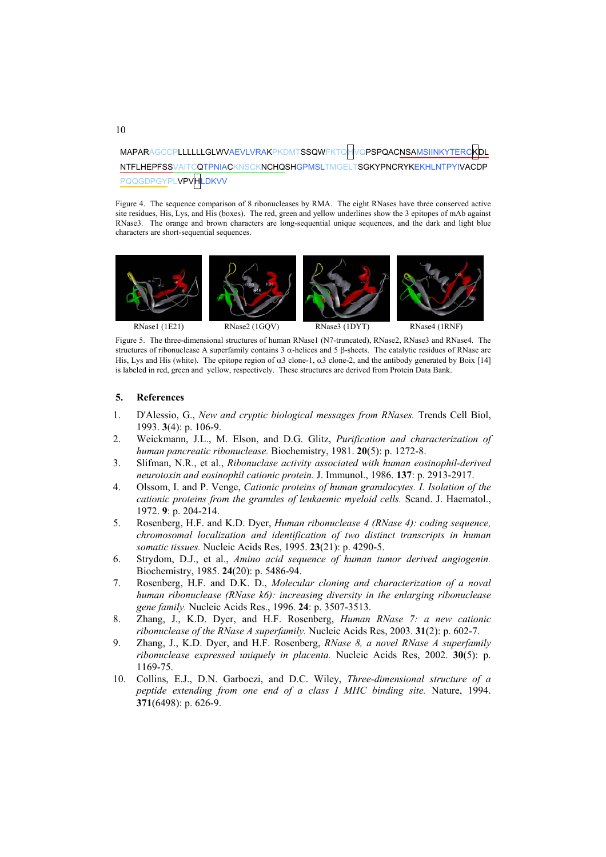MAPARAGCCPLLLLLLGLWVAEVLVRAKPKDMTSSQWFKTQHVQPSPQACNSAMSIINKYTER NTFLHEPFSSVAITCQTPNIACKNSCKNCHQSHGPMSLTMGELTSGKYPNCRYKEKHLNTPYIVACDP YPLVPVHLDKVV

Figure 4. The sequence comparison of 8 ribonucleases by RMA. The eight RNases have three conserved active site residues, His, Lys, and His (boxes). The red, green and yellow underlines show the 3 epitopes of mAb against RNase3. The orange and brown characters are long-sequential unique sequences, and the dark and light blue characters are short-sequential sequences.



Figure 5. The three-dimensional structures of human RNase1 (N7-truncated), RNase2, RNase3 and RNase4. The structures of ribonuclease A superfamily contains 3 α-helices and 5 β-sheets. The catalytic residues of RNase are His, Lys and His (white). The epitope region of  $\alpha$ 3 clone-1,  $\alpha$ 3 clone-2, and the antibody generated by Boix [14] is labeled in red, green and yellow, respectively. These structures are derived from Protein Data Bank.

## **5. References**

- 1. D'Alessio, G., *New and cryptic biological messages from RNases.* Trends Cell Biol, 1993. **3**(4): p. 106-9.
- 2. Weickmann, J.L., M. Elson, and D.G. Glitz, *Purification and characterization of human pancreatic ribonuclease.* Biochemistry, 1981. **20**(5): p. 1272-8.
- 3. Slifman, N.R., et al., *Ribonuclase activity associated with human eosinophil-derived neurotoxin and eosinophil cationic protein.* J. Immunol., 1986. **137**: p. 2913-2917.
- 4. Olssom, I. and P. Venge, *Cationic proteins of human granulocytes. I. Isolation of the cationic proteins from the granules of leukaemic myeloid cells.* Scand. J. Haematol., 1972. **9**: p. 204-214.
- 5. Rosenberg, H.F. and K.D. Dyer, *Human ribonuclease 4 (RNase 4): coding sequence, chromosomal localization and identification of two distinct transcripts in human somatic tissues.* Nucleic Acids Res, 1995. **23**(21): p. 4290-5.
- 6. Strydom, D.J., et al., *Amino acid sequence of human tumor derived angiogenin.* Biochemistry, 1985. **24**(20): p. 5486-94.
- 7. Rosenberg, H.F. and D.K. D., *Molecular cloning and characterization of a noval human ribonuclease (RNase k6): increasing diversity in the enlarging ribonuclease gene family.* Nucleic Acids Res., 1996. **24**: p. 3507-3513.
- 8. Zhang, J., K.D. Dyer, and H.F. Rosenberg, *Human RNase 7: a new cationic ribonuclease of the RNase A superfamily.* Nucleic Acids Res, 2003. **31**(2): p. 602-7.
- 9. Zhang, J., K.D. Dyer, and H.F. Rosenberg, *RNase 8, a novel RNase A superfamily ribonuclease expressed uniquely in placenta.* Nucleic Acids Res, 2002. **30**(5): p. 1169-75.
- 10. Collins, E.J., D.N. Garboczi, and D.C. Wiley, *Three-dimensional structure of a peptide extending from one end of a class I MHC binding site.* Nature, 1994. **371**(6498): p. 626-9.